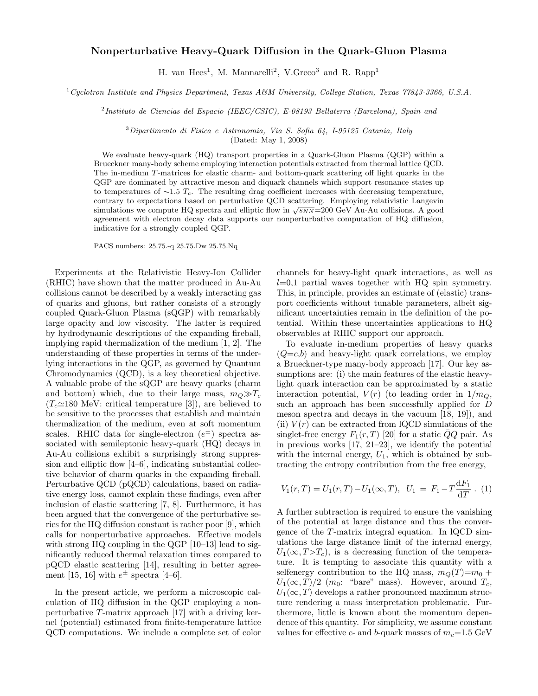## Nonperturbative Heavy-Quark Diffusion in the Quark-Gluon Plasma

H. van Hees<sup>1</sup>, M. Mannarelli<sup>2</sup>, V.Greco<sup>3</sup> and R. Rapp<sup>1</sup>

<sup>1</sup>Cyclotron Institute and Physics Department, Texas A&M University, College Station, Texas 77843-3366, U.S.A.

2 Instituto de Ciencias del Espacio (IEEC/CSIC), E-08193 Bellaterra (Barcelona), Spain and

<sup>3</sup>Dipartimento di Fisica e Astronomia, Via S. Sofia 64, I-95125 Catania, Italy

(Dated: May 1, 2008)

We evaluate heavy-quark (HQ) transport properties in a Quark-Gluon Plasma (QGP) within a Brueckner many-body scheme employing interaction potentials extracted from thermal lattice QCD. The in-medium T-matrices for elastic charm- and bottom-quark scattering off light quarks in the QGP are dominated by attractive meson and diquark channels which support resonance states up to temperatures of ∼1.5  $T_c$ . The resulting drag coefficient increases with decreasing temperature, contrary to expectations based on perturbative QCD scattering. Employing relativistic Langevin simulations we compute HQ spectra and elliptic flow in  $\sqrt{s_{NN}}$ =200 GeV Au-Au collisions. A good agreement with electron decay data supports our nonperturbative computation of HQ diffusion, indicative for a strongly coupled QGP.

PACS numbers: 25.75.-q 25.75.Dw 25.75.Nq

Experiments at the Relativistic Heavy-Ion Collider (RHIC) have shown that the matter produced in Au-Au collisions cannot be described by a weakly interacting gas of quarks and gluons, but rather consists of a strongly coupled Quark-Gluon Plasma (sQGP) with remarkably large opacity and low viscosity. The latter is required by hydrodynamic descriptions of the expanding fireball, implying rapid thermalization of the medium [1, 2]. The understanding of these properties in terms of the underlying interactions in the QGP, as governed by Quantum Chromodynamics (QCD), is a key theoretical objective. A valuable probe of the sQGP are heavy quarks (charm and bottom) which, due to their large mass,  $m_Q \gg T_c$  $(T_c \approx 180 \text{ MeV}$ : critical temperature [3]), are believed to be sensitive to the processes that establish and maintain thermalization of the medium, even at soft momentum scales. RHIC data for single-electron  $(e^{\pm})$  spectra associated with semileptonic heavy-quark (HQ) decays in Au-Au collisions exhibit a surprisingly strong suppression and elliptic flow [4–6], indicating substantial collective behavior of charm quarks in the expanding fireball. Perturbative QCD (pQCD) calculations, based on radiative energy loss, cannot explain these findings, even after inclusion of elastic scattering [7, 8]. Furthermore, it has been argued that the convergence of the perturbative series for the HQ diffusion constant is rather poor [9], which calls for nonperturbative approaches. Effective models with strong HQ coupling in the QGP [10–13] lead to significantly reduced thermal relaxation times compared to pQCD elastic scattering [14], resulting in better agreement [15, 16] with  $e^{\pm}$  spectra [4–6].

In the present article, we perform a microscopic calculation of HQ diffusion in the QGP employing a nonperturbative T-matrix approach [17] with a driving kernel (potential) estimated from finite-temperature lattice QCD computations. We include a complete set of color channels for heavy-light quark interactions, as well as  $l=0.1$  partial waves together with HQ spin symmetry. This, in principle, provides an estimate of (elastic) transport coefficients without tunable parameters, albeit significant uncertainties remain in the definition of the potential. Within these uncertainties applications to HQ observables at RHIC support our approach.

To evaluate in-medium properties of heavy quarks  $(Q=c,b)$  and heavy-light quark correlations, we employ a Brueckner-type many-body approach [17]. Our key assumptions are: (i) the main features of the elastic heavylight quark interaction can be approximated by a static interaction potential,  $V(r)$  (to leading order in  $1/m<sub>O</sub>$ , such an approach has been successfully applied for D meson spectra and decays in the vacuum [18, 19]), and (ii)  $V(r)$  can be extracted from lQCD simulations of the singlet-free energy  $F_1(r, T)$  [20] for a static  $\overline{Q}Q$  pair. As in previous works  $\left[17, 21-23\right]$ , we identify the potential with the internal energy,  $U_1$ , which is obtained by subtracting the entropy contribution from the free energy,

$$
V_1(r,T) = U_1(r,T) - U_1(\infty,T), \ \ U_1 = F_1 - T\frac{\mathrm{d}F_1}{\mathrm{d}T} \ . \ \ (1)
$$

A further subtraction is required to ensure the vanishing of the potential at large distance and thus the convergence of the T-matrix integral equation. In lQCD simulations the large distance limit of the internal energy,  $U_1(\infty, T>T_c)$ , is a decreasing function of the temperature. It is tempting to associate this quantity with a selfenergy contribution to the HQ mass,  $m_Q(T)=m_0 +$  $U_1(\infty,T)/2$  (m<sub>0</sub>: "bare" mass). However, around  $T_c$ ,  $U_1(\infty, T)$  develops a rather pronounced maximum structure rendering a mass interpretation problematic. Furthermore, little is known about the momentum dependence of this quantity. For simplicity, we assume constant values for effective c- and b-quark masses of  $m_c=1.5$  GeV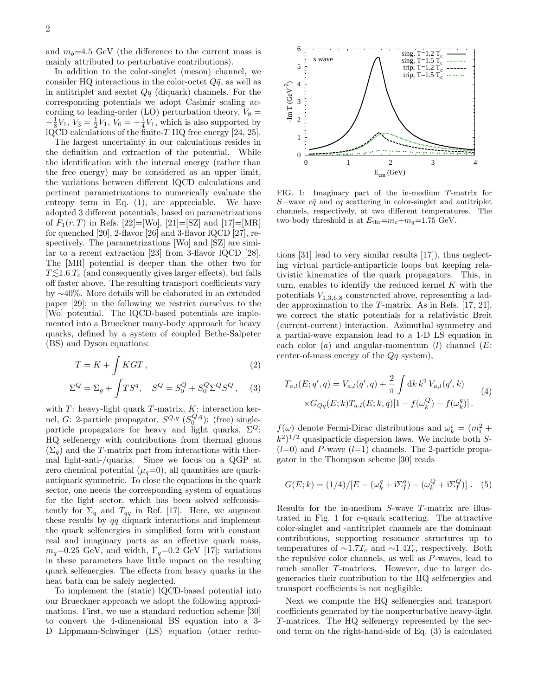and  $m_b=4.5$  GeV (the difference to the current mass is mainly attributed to perturbative contributions).

In addition to the color-singlet (meson) channel, we consider HQ interactions in the color-octet  $Q\bar{q}$ , as well as in antitriplet and sextet  $Qq$  (diquark) channels. For the corresponding potentials we adopt Casimir scaling according to leading-order (LO) perturbation theory,  $V_8 =$  $-\frac{1}{8}V_1, V_{\overline{3}} = \frac{1}{2}V_1, V_6 = -\frac{1}{4}V_1$ , which is also supported by  $lQCD$  calculations of the finite-T HQ free energy [24, 25].

The largest uncertainty in our calculations resides in the definition and extraction of the potential. While the identification with the internal energy (rather than the free energy) may be considered as an upper limit, the variations between different lQCD calculations and pertinent parametrizations to numerically evaluate the entropy term in Eq. (1), are appreciable. We have adopted 3 different potentials, based on parametrizations of  $F_1(r, T)$  in Refs. [22]=[Wo], [21]=[SZ] and [17]=[MR] for quenched [20], 2-flavor [26] and 3-flavor lQCD [27], respectively. The parametrizations [Wo] and [SZ] are similar to a recent extraction [23] from 3-flavor lQCD [28]. The [MR] potential is deeper than the other two for  $T\lesssim1.6 T_c$  (and consequently gives larger effects), but falls off faster above. The resulting transport coefficients vary by ∼40%. More details will be elaborated in an extended paper [29]; in the following we restrict ourselves to the [Wo] potential. The lQCD-based potentials are implemented into a Brueckner many-body approach for heavy quarks, defined by a system of coupled Bethe-Salpeter (BS) and Dyson equations:

$$
T = K + \int KGT,
$$
\n
$$
\Sigma^{Q} = \Sigma_{g} + \int TS^{q}, \quad S^{Q} = S_{0}^{Q} + S_{0}^{Q} \Sigma^{Q} S^{Q},
$$
\n(3)

with  $T$ : heavy-light quark  $T$ -matrix,  $K$ : interaction kernel, *G*: 2-particle propagator,  $S^{Q,q}$   $(S_0^{Q,q})$ : (free) singleparticle propagators for heavy and light quarks,  $\Sigma^Q$ : HQ selfenergy with contributions from thermal gluons  $(\Sigma_q)$  and the T-matrix part from interactions with thermal light-anti-/quarks. Since we focus on a QGP at zero chemical potential  $(\mu_q=0)$ , all quantities are quarkantiquark symmetric. To close the equations in the quark sector, one needs the corresponding system of equations for the light sector, which has been solved selfconsistently for  $\Sigma_q$  and  $T_{q\bar{q}}$  in Ref. [17]. Here, we augment these results by  $qq$  diquark interactions and implement the quark selfenergies in simplified form with constant real and imaginary parts as an effective quark mass,  $m_q=0.25$  GeV, and width,  $\Gamma_q=0.2$  GeV [17]; variations in these parameters have little impact on the resulting quark selfenergies. The effects from heavy quarks in the heat bath can be safely neglected.

To implement the (static) lQCD-based potential into our Brueckner approach we adopt the following approximations. First, we use a standard reduction scheme [30] to convert the 4-dimensional BS equation into a 3- D Lippmann-Schwinger (LS) equation (other reduc-



FIG. 1: Imaginary part of the in-medium T-matrix for S–wave  $c\bar{q}$  and  $c\bar{q}$  scattering in color-singlet and antitriplet channels, respectively, at two different temperatures. The two-body threshold is at  $E_{\text{thr}}=m_c+m_q=1.75$  GeV.

tions [31] lead to very similar results [17]), thus neglecting virtual particle-antiparticle loops but keeping relativistic kinematics of the quark propagators. This, in turn, enables to identify the reduced kernel  $K$  with the potentials  $V_{1,\bar{3},6,8}$  constructed above, representing a ladder approximation to the T-matrix. As in Refs. [17, 21], we correct the static potentials for a relativistic Breit (current-current) interaction. Azimuthal symmetry and a partial-wave expansion lead to a 1-D LS equation in each color  $(a)$  and angular-momentum  $(l)$  channel  $(E:$ center-of-mass energy of the  $Qq$  system),

$$
T_{a,l}(E;q',q) = V_{a,l}(q',q) + \frac{2}{\pi} \int \mathrm{d}k \, k^2 \, V_{a,l}(q',k) \times G_{Qq}(E;k) T_{a,l}(E;k,q)[1 - f(\omega_k^Q) - f(\omega_k^q)].
$$
\n(4)

 $f(\omega)$  denote Fermi-Dirac distributions and  $\omega_k^i = (m_i^2 +$  $(k^2)^{1/2}$  quasiparticle dispersion laws. We include both S- $(l=0)$  and P-wave  $(l=1)$  channels. The 2-particle propagator in the Thompson scheme [30] reads

$$
G(E; k) = (1/4)/[E - (\omega_k^q + i\Sigma_l^q) - (\omega_k^Q + i\Sigma_l^Q)].
$$
 (5)

Results for the in-medium S-wave T-matrix are illustrated in Fig. 1 for c-quark scattering. The attractive color-singlet and -antitriplet channels are the dominant contributions, supporting resonance structures up to temperatures of  $\sim$ 1.7 $T_c$  and  $\sim$ 1.4 $T_c$ , respectively. Both the repulsive color channels, as well as P-waves, lead to much smaller T-matrices. However, due to larger degeneracies their contribution to the HQ selfenergies and transport coefficients is not negligible.

Next we compute the HQ selfenergies and transport coefficients generated by the nonperturbative heavy-light T-matrices. The HQ selfenergy represented by the second term on the right-hand-side of Eq. (3) is calculated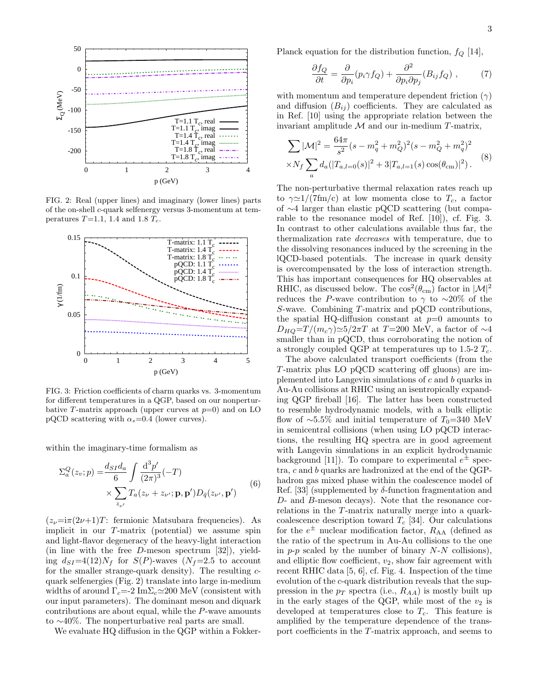

FIG. 2: Real (upper lines) and imaginary (lower lines) parts of the on-shell c-quark selfenergy versus 3-momentum at temperatures  $T=1.1$ , 1.4 and 1.8  $T_c$ .



FIG. 3: Friction coefficients of charm quarks vs. 3-momentum for different temperatures in a QGP, based on our nonperturbative T-matrix approach (upper curves at  $p=0$ ) and on LO pQCD scattering with  $\alpha_s$ =0.4 (lower curves).

within the imaginary-time formalism as

$$
\Sigma_a^Q(z_v; p) = \frac{d_{SI}d_a}{6} \int \frac{\mathrm{d}^3 p'}{(2\pi)^3} (-T)
$$
  
 
$$
\times \sum_{z_{\nu'}} T_a(z_{\nu} + z_{\nu'}; \mathbf{p}, \mathbf{p'}) D_{\bar{q}}(z_{\nu'}, \mathbf{p'})
$$
(6)

 $(z_{\nu}=i\pi(2\nu+1)T$ : fermionic Matsubara frequencies). As implicit in our T-matrix (potential) we assume spin and light-flavor degeneracy of the heavy-light interaction (in line with the free D-meson spectrum [32]), yielding  $d_{SI} = 4(12)N_f$  for  $S(P)$ -waves  $(N_f=2.5$  to account for the smaller strange-quark density). The resulting  $c$ quark selfenergies (Fig. 2) translate into large in-medium widths of around  $\Gamma_c = -2 \text{Im} \Sigma_c \approx 200 \text{ MeV}$  (consistent with our input parameters). The dominant meson and diquark contributions are about equal, while the P-wave amounts to ∼40%. The nonperturbative real parts are small.

We evaluate HQ diffusion in the QGP within a Fokker-

Planck equation for the distribution function,  $f_Q$  [14],

$$
\frac{\partial f_Q}{\partial t} = \frac{\partial}{\partial p_i} (p_i \gamma f_Q) + \frac{\partial^2}{\partial p_i \partial p_j} (B_{ij} f_Q) , \qquad (7)
$$

with momentum and temperature dependent friction  $(\gamma)$ and diffusion  $(B_{ij})$  coefficients. They are calculated as in Ref. [10] using the appropriate relation between the invariant amplitude  $M$  and our in-medium  $T$ -matrix,

$$
\sum |\mathcal{M}|^2 = \frac{64\pi}{s^2} (s - m_q^2 + m_Q^2)^2 (s - m_Q^2 + m_q^2)^2
$$
  
 
$$
\times N_f \sum_a d_a (|T_{a,l=0}(s)|^2 + 3|T_{a,l=1}(s) \cos(\theta_{cm})|^2).
$$
 (8)

The non-perturbative thermal relaxation rates reach up to  $\gamma \approx 1/(7 \text{fm/c})$  at low momenta close to  $T_c$ , a factor of ∼4 larger than elastic pQCD scattering (but comparable to the resonance model of Ref. [10]), cf. Fig. 3. In contrast to other calculations available thus far, the thermalization rate decreases with temperature, due to the dissolving resonances induced by the screening in the lQCD-based potentials. The increase in quark density is overcompensated by the loss of interaction strength. This has important consequences for HQ observables at RHIC, as discussed below. The  $\cos^2(\theta_{\rm cm})$  factor in  $|\mathcal{M}|^2$ reduces the P-wave contribution to  $\gamma$  to ~20% of the S-wave. Combining T-matrix and pQCD contributions, the spatial HQ-diffusion constant at  $p=0$  amounts to  $D_{HQ} = T/(m_c \gamma) \approx 5/2\pi T$  at T=200 MeV, a factor of  $\sim$ 4 smaller than in pQCD, thus corroborating the notion of a strongly coupled QGP at temperatures up to 1.5-2  $T_c$ .

The above calculated transport coefficients (from the T-matrix plus LO pQCD scattering off gluons) are implemented into Langevin simulations of c and b quarks in Au-Au collisions at RHIC using an isentropically expanding QGP fireball [16]. The latter has been constructed to resemble hydrodynamic models, with a bulk elliptic flow of ~5.5% and initial temperature of  $T_0=340$  MeV in semicentral collisions (when using LO pQCD interactions, the resulting HQ spectra are in good agreement with Langevin simulations in an explicit hydrodynamic background [11]). To compare to experimental  $e^{\pm}$  spectra, c and b quarks are hadronized at the end of the QGPhadron gas mixed phase within the coalescence model of Ref. [33] (supplemented by  $\delta$ -function fragmentation and D- and B-meson decays). Note that the resonance correlations in the T-matrix naturally merge into a quarkcoalescence description toward  $T_c$  [34]. Our calculations for the  $e^{\pm}$  nuclear modification factor,  $R_{AA}$  (defined as the ratio of the spectrum in Au-Au collisions to the one in  $p-p$  scaled by the number of binary  $N-N$  collisions), and elliptic flow coefficient,  $v_2$ , show fair agreement with recent RHIC data [5, 6], cf. Fig. 4. Inspection of the time evolution of the c-quark distribution reveals that the suppression in the  $p_T$  spectra (i.e.,  $R_{AA}$ ) is mostly built up in the early stages of the QGP, while most of the  $v_2$  is developed at temperatures close to  $T_c$ . This feature is amplified by the temperature dependence of the transport coefficients in the T-matrix approach, and seems to